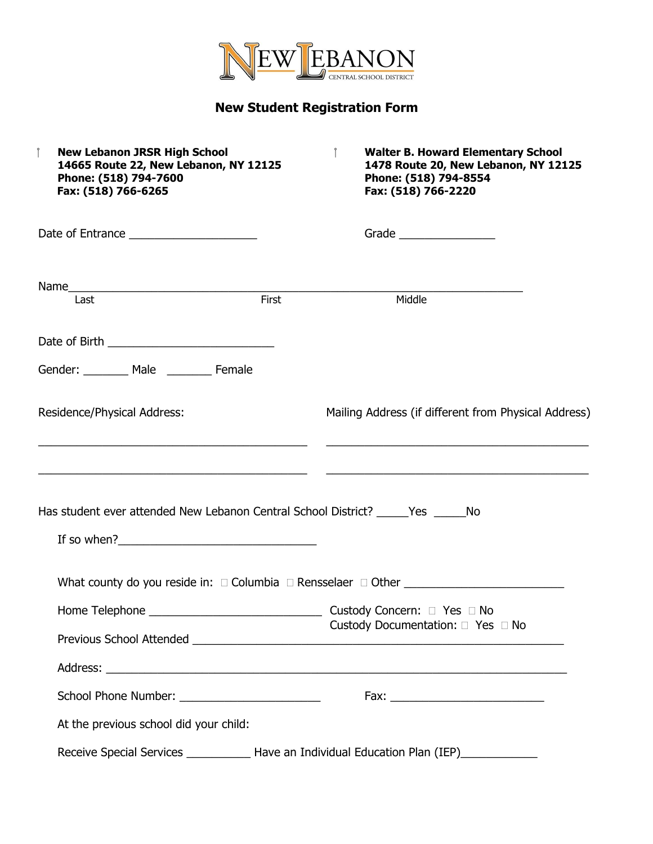

## **New Student Registration Form**

| $\int$<br><b>New Lebanon JRSR High School</b><br>14665 Route 22, New Lebanon, NY 12125<br>Phone: (518) 794-7600<br>Fax: (518) 766-6265 |       | <b>Walter B. Howard Elementary School</b><br>1478 Route 20, New Lebanon, NY 12125<br>Phone: (518) 794-8554<br>Fax: (518) 766-2220 |
|----------------------------------------------------------------------------------------------------------------------------------------|-------|-----------------------------------------------------------------------------------------------------------------------------------|
|                                                                                                                                        |       | Grade _________________                                                                                                           |
|                                                                                                                                        |       |                                                                                                                                   |
| Last                                                                                                                                   | First | Middle                                                                                                                            |
|                                                                                                                                        |       |                                                                                                                                   |
| Gender: ________ Male _______ Female                                                                                                   |       |                                                                                                                                   |
| Residence/Physical Address:                                                                                                            |       | Mailing Address (if different from Physical Address)                                                                              |
| Has student ever attended New Lebanon Central School District? ______ Yes ______ No                                                    |       |                                                                                                                                   |
|                                                                                                                                        |       |                                                                                                                                   |
|                                                                                                                                        |       | What county do you reside in: $\square$ Columbia $\square$ Rensselaer $\square$ Other $\square$                                   |
| Home Telephone                                                                                                                         |       | Custody Concern: □ Yes □ No                                                                                                       |
|                                                                                                                                        |       | Custody Documentation: □ Yes □ No                                                                                                 |
|                                                                                                                                        |       |                                                                                                                                   |
|                                                                                                                                        |       |                                                                                                                                   |
| At the previous school did your child:                                                                                                 |       |                                                                                                                                   |
|                                                                                                                                        |       | Receive Special Services _______________ Have an Individual Education Plan (IEP)___________________                               |